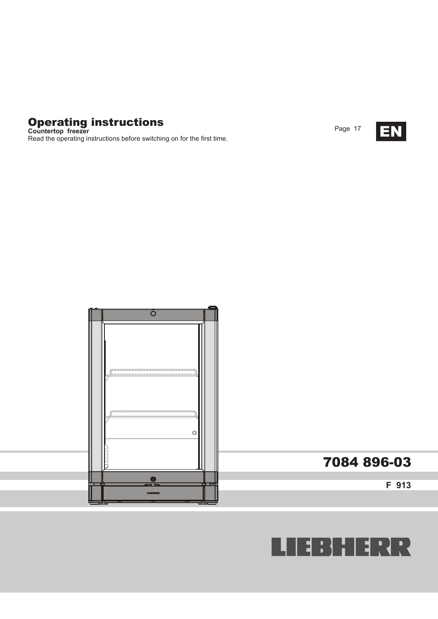

**Countertop freezer** Read the operating instructions before switching on for the first time.





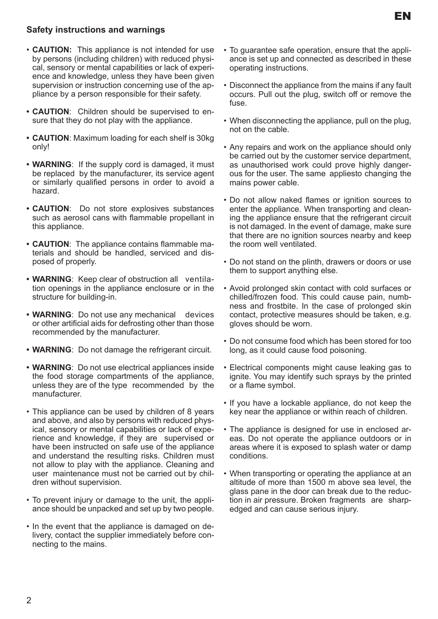## **Safety instructions and warnings**

- **CAUTION:** This appliance is not intended for use by persons (including children) with reduced physical, sensory or mental capabilities or lack of experience and knowledge, unless they have been given supervision or instruction concerning use of the appliance by a person responsible for their safety.
- **• CAUTION**: Children should be supervised to ensure that they do not play with the appliance.
- **• CAUTION**: Maximum loading for each shelf is 30kg only!
- **• WARNING**: If the supply cord is damaged, it must be replaced by the manufacturer, its service agent or similarly qualified persons in order to avoid a hazard.
- **• CAUTION**: Do not store explosives substances such as aerosol cans with flammable propellant in this appliance.
- **• CAUTION**: The appliance contains flammable materials and should be handled, serviced and disposed of properly.
- **• WARNING**: Keep clear of obstruction all ventilation openings in the appliance enclosure or in the structure for building-in.
- **• WARNING**: Do not use any mechanical devices or other artificial aids for defrosting other than those recommended by the manufacturer.
- **• WARNING**: Do not damage the refrigerant circuit.
- **• WARNING**: Do not use electrical appliances inside the food storage compartments of the appliance, unless they are of the type recommended by the manufacturer.
- This appliance can be used by children of 8 years and above, and also by persons with reduced physical, sensory or mental capabilities or lack of experience and knowledge, if they are supervised or have been instructed on safe use of the appliance and understand the resulting risks. Children must not allow to play with the appliance. Cleaning and user maintenance must not be carried out by children without supervision.
- To prevent injury or damage to the unit, the appliance should be unpacked and set up by two people.
- In the event that the appliance is damaged on delivery, contact the supplier immediately before connecting to the mains.
- To guarantee safe operation, ensure that the appliance is set up and connected as described in these operating instructions.
- Disconnect the appliance from the mains if any fault occurs. Pull out the plug, switch off or remove the fuse.
- When disconnecting the appliance, pull on the plug, not on the cable.
- Any repairs and work on the appliance should only be carried out by the customer service department, as unauthorised work could prove highly dangerous for the user. The same appliesto changing the mains power cable.
- Do not allow naked flames or ignition sources to enter the appliance. When transporting and cleaning the appliance ensure that the refrigerant circuit is not damaged. In the event of damage, make sure that there are no ignition sources nearby and keep the room well ventilated.
- Do not stand on the plinth, drawers or doors or use them to support anything else.
- Avoid prolonged skin contact with cold surfaces or chilled/frozen food. This could cause pain, numbness and frostbite. In the case of prolonged skin contact, protective measures should be taken, e.g. gloves should be worn.
- Do not consume food which has been stored for too long, as it could cause food poisoning.
- Electrical components might cause leaking gas to ignite. You may identify such sprays by the printed or a flame symbol.
- If you have a lockable appliance, do not keep the key near the appliance or within reach of children.
- The appliance is designed for use in enclosed areas. Do not operate the appliance outdoors or in areas where it is exposed to splash water or damp conditions.
- When transporting or operating the appliance at an altitude of more than 1500 m above sea level, the glass pane in the door can break due to the reduction in air pressure. Broken fragments are sharpedged and can cause serious injury.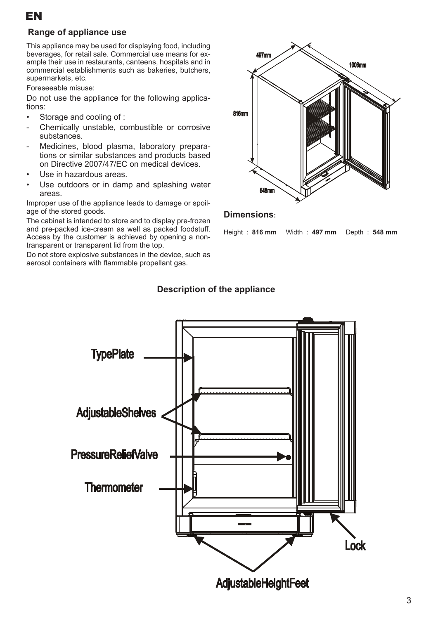

### **Range of appliance use**

This appliance may be used for displaying food, including beverages, for retail sale. Commercial use means for example their use in restaurants, canteens, hospitals and in commercial establishments such as bakeries, butchers, supermarkets, etc.

Foreseeable misuse:

Do not use the appliance for the following applications:

- Storage and cooling of :
- Chemically unstable, combustible or corrosive substances.
- Medicines, blood plasma, laboratory preparations or similar substances and products based on Directive 2007/47/EC on medical devices.
- Use in hazardous areas.
- Use outdoors or in damp and splashing water areas.

Improper use of the appliance leads to damage or spoilage of the stored goods.

The cabinet is intended to store and to display pre-frozen and pre-packed ice-cream as well as packed foodstuff. Access by the customer is achieved by opening a nontransparent or transparent lid from the top.

Do not store explosive substances in the device, such as aerosol containers with flammable propellant gas.



#### **Dimensions:**

Height : **816 mm** Width : **497 mm** Depth : **548 mm**



## **Description of the appliance**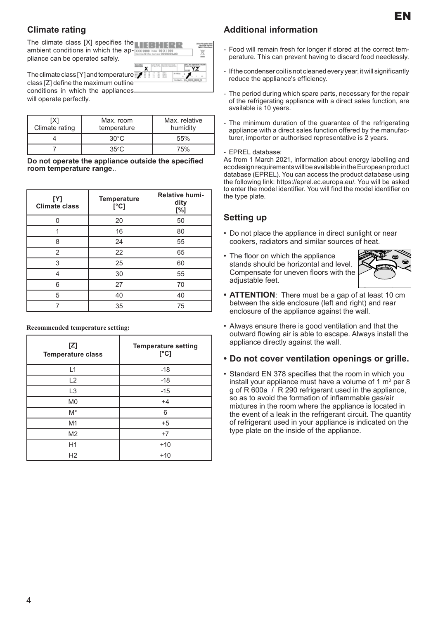## **Climate rating**

The climate class  $[X]$  specifies the **NUMBER RIGHTER RIGHTER RIGHTER RIGHTER** ambient conditions in which the ap- $\frac{1}{20}$ pliance can be operated safely.

The climate class [Y] and temperature  $class$   $[Z]$  define the maximum outli conditions in which the appliances will operate perfectly.

| IX1<br>Climate rating | Max. room<br>temperature | Max. relative<br>humidity |
|-----------------------|--------------------------|---------------------------|
|                       | $30^{\circ}$ C           | 55%                       |
|                       | $35^{\circ}$ C           | 75%                       |

**Do not operate the appliance outside the specified room temperature range.**.

| [Y]<br><b>Climate class</b> | <b>Temperature</b><br>[°C] | <b>Relative humi-</b><br>dity<br>[%] |
|-----------------------------|----------------------------|--------------------------------------|
| n                           | 20                         | 50                                   |
|                             | 16                         | 80                                   |
| 8                           | 24                         | 55                                   |
| 2                           | 22                         | 65                                   |
| 3                           | 25                         | 60                                   |
| 4                           | 30                         | 55                                   |
| 6                           | 27                         | 70                                   |
| 5                           | 40                         | 40                                   |
|                             | 35                         | 75                                   |

| [Z]<br><b>Temperature class</b> | <b>Temperature setting</b><br>[°C] |
|---------------------------------|------------------------------------|
| L1                              | $-18$                              |
| L2                              | $-18$                              |
| L <sub>3</sub>                  | $-15$                              |
| M <sub>0</sub>                  | $+4$                               |
| $M^*$                           | 6                                  |
| M1                              | $+5$                               |
| M <sub>2</sub>                  | $+7$                               |
| H1                              | $+10$                              |
| H2                              | $+10$                              |

**Recommended temperature setting:**

### **Additional information**

- Food will remain fresh for longer if stored at the correct temperature. This can prevent having to discard food needlessly.
- If the condenser coil is not cleaned every year, it will significantly reduce the appliance's efficiency.
- The period during which spare parts, necessary for the repair of the refrigerating appliance with a direct sales function, are available is 10 years.
- The minimum duration of the guarantee of the refrigerating appliance with a direct sales function offered by the manufacturer, importer or authorised representative is 2 years.

#### - EPREL database:

As from 1 March 2021, information about energy labelling and ecodesign requirements will be available in the European product database (EPREL). You can access the product database using the following link: https://eprel.ec.europa.eu/. You will be asked to enter the model identifier. You will find the model identifier on the type plate.

## **Setting up**

- Do not place the appliance in direct sunlight or near cookers, radiators and similar sources of heat.
- The floor on which the appliance stands should be horizontal and level. Compensate for uneven floors with the adiustable feet.



EN

- **• ATTENTION**: There must be a gap of at least 10 cm between the side enclosure (left and right) and rear enclosure of the appliance against the wall.
- Always ensure there is good ventilation and that the outward flowing air is able to escape. Always install the appliance directly against the wall.
- **• Do not cover ventilation openings or grille.**
- Standard EN 378 specifies that the room in which you install your appliance must have a volume of 1  $m^3$  per 8 g of R 600a / R 290 refrigerant used in the appliance, so as to avoid the formation of inflammable gas/air mixtures in the room where the appliance is located in the event of a leak in the refrigerant circuit. The quantity of refrigerant used in your appliance is indicated on the type plate on the inside of the appliance.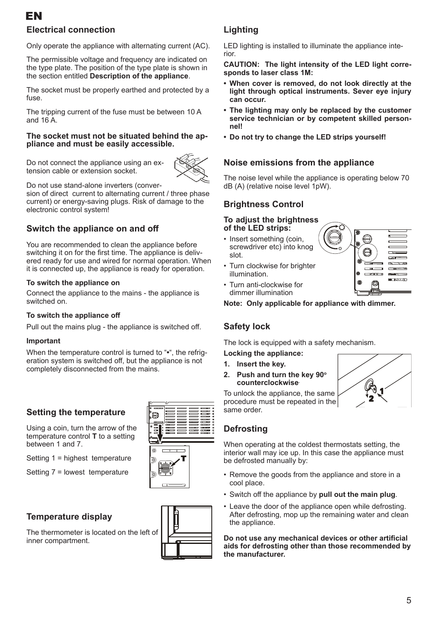# EN

# **Electrical connection**

Only operate the appliance with alternating current (AC).

The permissible voltage and frequency are indicated on the type plate. The position of the type plate is shown in the section entitled **Description of the appliance**.

The socket must be properly earthed and protected by a fuse.

The tripping current of the fuse must be between 10 A and 16 A.

# **The socket must not be situated behind the ap- pliance and must be easily accessible.**

Do not connect the appliance using an extension cable or extension socket.



Do not use stand-alone inverters (conver-

sion of direct current to alternating current / three phase current) or energy-saving plugs. Risk of damage to the electronic control system!

## **Switch the appliance on and off**

You are recommended to clean the appliance before switching it on for the first time. The appliance is delivered ready for use and wired for normal operation. When it is connected up, the appliance is ready for operation.

#### **To switch the appliance on**

Connect the appliance to the mains - the appliance is switched on.

#### **To switch the appliance off**

Pull out the mains plug - the appliance is switched off.

#### **Important**

When the temperature control is turned to "**•**", the refrigeration system is switched off, but the appliance is not completely disconnected from the mains.

## **Setting the temperature**

Using a coin, turn the arrow of the temperature control **T** to a setting between 1 and 7.

Setting 1 = highest temperature

Setting 7 = lowest temperature



The thermometer is located on the left of inner compartment.





# **Lighting**

LED lighting is installed to illuminate the appliance interior.

**CAUTION: The light intensity of the LED light corresponds to laser class 1M:**

- **• When cover is removed, do not look directly at the light through optical instruments. Sever eye injury can occur.**
- **• The lighting may only be replaced by the customer service technician or by competent skilled personnel!**
- **• Do not try to change the LED strips yourself!**

## **Noise emissions from the appliance**

The noise level while the appliance is operating below 70 dB (A) (relative noise level 1pW).

## **Brightness Control**

#### **To adjust the brightness of the LED strips:**

- Insert something (coin, screwdriver etc) into knog slot.
- Turn clockwise for brighter illumination.



• Turn anti-clockwise for dimmer illumination

**Note: Only applicable for appliance with dimmer.**

## **Safety lock**

The lock is equipped with a safety mechanism.

**Locking the appliance:** 

- **1. Insert the key.**
- **2.** Push and turn the key 90° **counterclockwise.**

To unlock the appliance, the same procedure must be repeated in the same order.

# **Defrosting**

When operating at the coldest thermostats setting, the interior wall may ice up. In this case the appliance must be defrosted manually by:

- Remove the goods from the appliance and store in a cool place.
- Switch off the appliance by **pull out the main plug**.
- Leave the door of the appliance open while defrosting. After defrosting, mop up the remaining water and clean the appliance.

**Do not use any mechanical devices or other artificial aids for defrosting other than those recommended by the manufacturer.**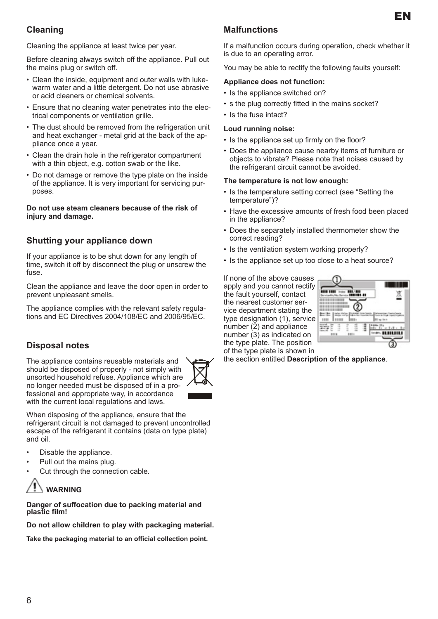# **Cleaning**

Cleaning the appliance at least twice per year.

Before cleaning always switch off the appliance. Pull out the mains plug or switch off.

- Clean the inside, equipment and outer walls with lukewarm water and a little detergent. Do not use abrasive or acid cleaners or chemical solvents.
- Ensure that no cleaning water penetrates into the electrical components or ventilation grille.
- The dust should be removed from the refrigeration unit and heat exchanger - metal grid at the back of the appliance once a year.
- Clean the drain hole in the refrigerator compartment with a thin object, e.g. cotton swab or the like.
- Do not damage or remove the type plate on the inside of the appliance. It is very important for servicing purposes.

#### **Do not use steam cleaners because of the risk of injury and damage.**

## **Shutting your appliance down**

If your appliance is to be shut down for any length of time, switch it off by disconnect the plug or unscrew the fuse.

Clean the appliance and leave the door open in order to prevent unpleasant smells.

The appliance complies with the relevant safety regulations and EC Directives 2004/108/EC and 2006/95/EC.

## **Disposal notes**

The appliance contains reusable materials and should be disposed of properly - not simply with unsorted household refuse. Appliance which are no longer needed must be disposed of in a professional and appropriate way, in accordance with the current local regulations and laws.



When disposing of the appliance, ensure that the refrigerant circuit is not damaged to prevent uncontrolled escape of the refrigerant it contains (data on type plate) and oil.

- Disable the appliance.
- Pull out the mains plug.
- Cut through the connection cable.



#### **Danger of suffocation due to packing material and plastic film!**

**Do not allow children to play with packaging material.**

**Take the packaging material to an official collection point.**

# **Malfunctions**

If a malfunction occurs during operation, check whether it is due to an operating error.

You may be able to rectify the following faults yourself:

#### **Appliance does not function:**

- Is the appliance switched on?
- s the plug correctly fitted in the mains socket?
- Is the fuse intact?

#### **Loud running noise:**

- Is the appliance set up firmly on the floor?
- Does the appliance cause nearby items of furniture or objects to vibrate? Please note that noises caused by the refrigerant circuit cannot be avoided.

#### **The temperature is not low enough:**

- Is the temperature setting correct (see "Setting the temperature")?
- Have the excessive amounts of fresh food been placed in the appliance?
- Does the separately installed thermometer show the correct reading?
- Is the ventilation system working properly?
- Is the appliance set up too close to a heat source?

If none of the above causes apply and you cannot rectify the fault yourself, contact the nearest customer service department stating the type designation (1), service number (2) and appliance number (3) as indicated on the type plate. The position of the type plate is shown in



the section entitled **Description of the appliance**.